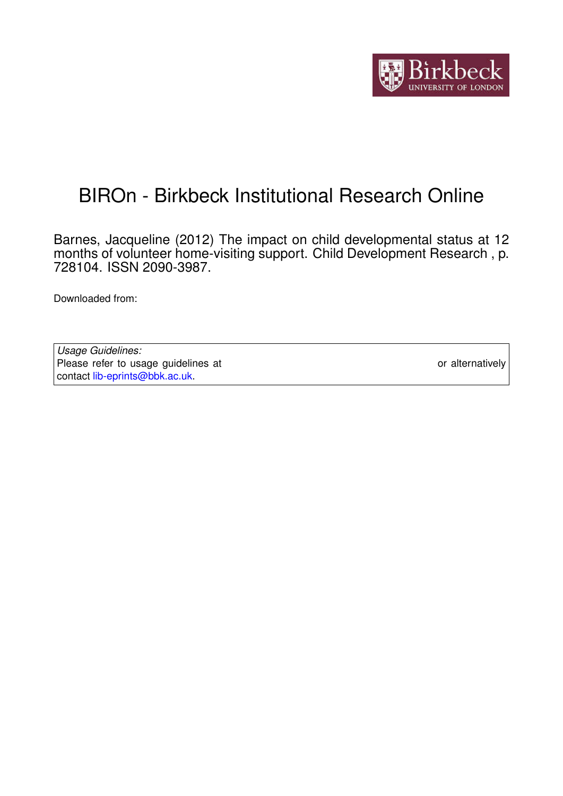

# BIROn - Birkbeck Institutional Research Online

Barnes, Jacqueline (2012) The impact on child developmental status at 12 months of volunteer home-visiting support. Child Development Research , p. 728104. ISSN 2090-3987.

Downloaded from: <https://eprints.bbk.ac.uk/id/eprint/5801/>

*Usage Guidelines:* Please refer to usage guidelines at <https://eprints.bbk.ac.uk/policies.html> or alternatively contact [lib-eprints@bbk.ac.uk.](mailto:lib-eprints@bbk.ac.uk)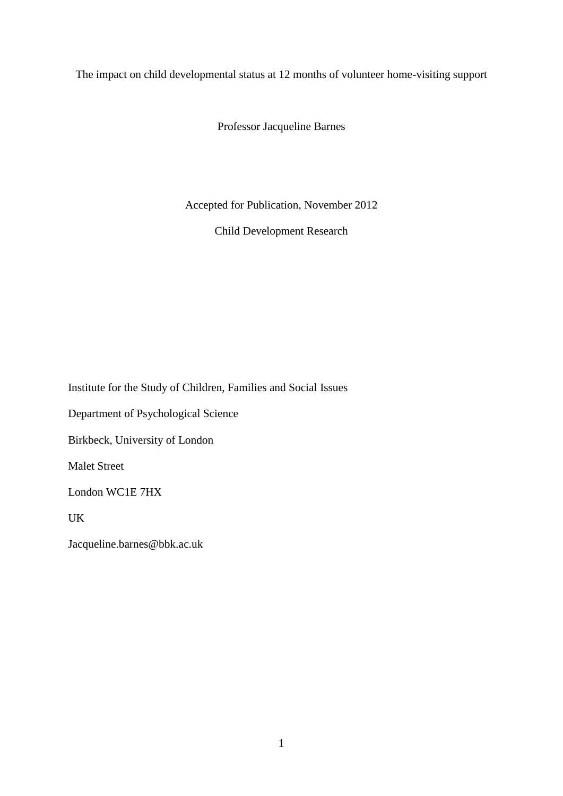The impact on child developmental status at 12 months of volunteer home-visiting support

Professor Jacqueline Barnes

Accepted for Publication, November 2012

Child Development Research

Institute for the Study of Children, Families and Social Issues

Department of Psychological Science

Birkbeck, University of London

Malet Street

London WC1E 7HX

UK

Jacqueline.barnes@bbk.ac.uk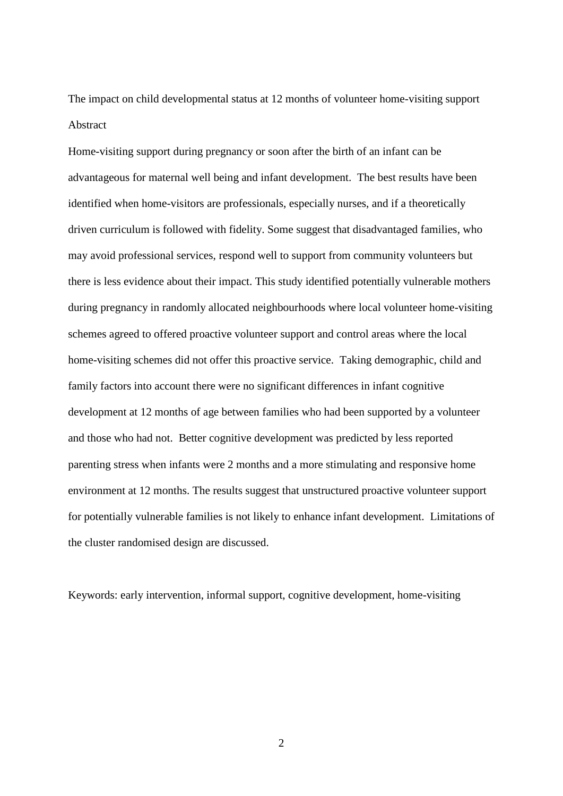The impact on child developmental status at 12 months of volunteer home-visiting support Abstract

Home-visiting support during pregnancy or soon after the birth of an infant can be advantageous for maternal well being and infant development. The best results have been identified when home-visitors are professionals, especially nurses, and if a theoretically driven curriculum is followed with fidelity. Some suggest that disadvantaged families, who may avoid professional services, respond well to support from community volunteers but there is less evidence about their impact. This study identified potentially vulnerable mothers during pregnancy in randomly allocated neighbourhoods where local volunteer home-visiting schemes agreed to offered proactive volunteer support and control areas where the local home-visiting schemes did not offer this proactive service. Taking demographic, child and family factors into account there were no significant differences in infant cognitive development at 12 months of age between families who had been supported by a volunteer and those who had not. Better cognitive development was predicted by less reported parenting stress when infants were 2 months and a more stimulating and responsive home environment at 12 months. The results suggest that unstructured proactive volunteer support for potentially vulnerable families is not likely to enhance infant development. Limitations of the cluster randomised design are discussed.

Keywords: early intervention, informal support, cognitive development, home-visiting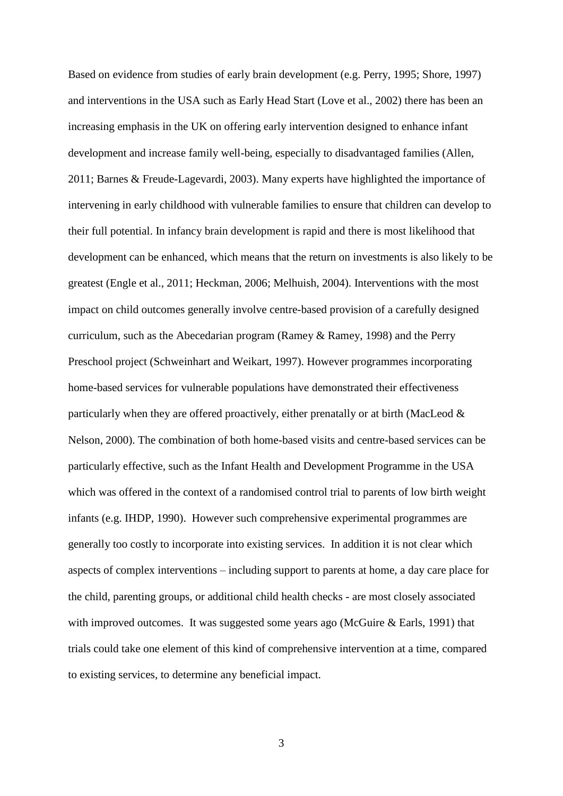Based on evidence from studies of early brain development (e.g. Perry, 1995; Shore, 1997) and interventions in the USA such as Early Head Start (Love et al., 2002) there has been an increasing emphasis in the UK on offering early intervention designed to enhance infant development and increase family well-being, especially to disadvantaged families (Allen, 2011; Barnes & Freude-Lagevardi, 2003). Many experts have highlighted the importance of intervening in early childhood with vulnerable families to ensure that children can develop to their full potential. In infancy brain development is rapid and there is most likelihood that development can be enhanced, which means that the return on investments is also likely to be greatest (Engle et al., 2011; Heckman, 2006; Melhuish, 2004). Interventions with the most impact on child outcomes generally involve centre-based provision of a carefully designed curriculum, such as the Abecedarian program (Ramey & Ramey, 1998) and the Perry Preschool project (Schweinhart and Weikart, 1997). However programmes incorporating home-based services for vulnerable populations have demonstrated their effectiveness particularly when they are offered proactively, either prenatally or at birth (MacLeod & Nelson, 2000). The combination of both home-based visits and centre-based services can be particularly effective, such as the Infant Health and Development Programme in the USA which was offered in the context of a randomised control trial to parents of low birth weight infants (e.g. IHDP, 1990). However such comprehensive experimental programmes are generally too costly to incorporate into existing services. In addition it is not clear which aspects of complex interventions – including support to parents at home, a day care place for the child, parenting groups, or additional child health checks - are most closely associated with improved outcomes. It was suggested some years ago (McGuire & Earls, 1991) that trials could take one element of this kind of comprehensive intervention at a time, compared to existing services, to determine any beneficial impact.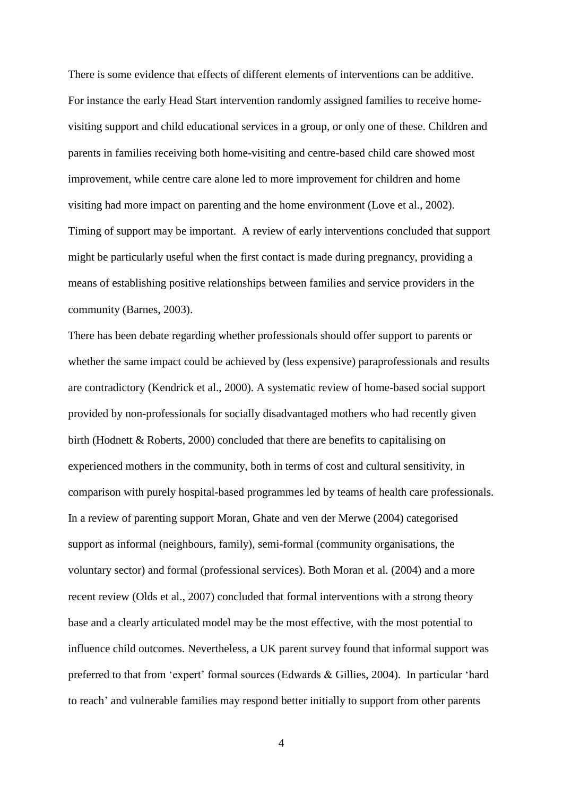There is some evidence that effects of different elements of interventions can be additive. For instance the early Head Start intervention randomly assigned families to receive homevisiting support and child educational services in a group, or only one of these. Children and parents in families receiving both home-visiting and centre-based child care showed most improvement, while centre care alone led to more improvement for children and home visiting had more impact on parenting and the home environment (Love et al., 2002). Timing of support may be important. A review of early interventions concluded that support might be particularly useful when the first contact is made during pregnancy, providing a means of establishing positive relationships between families and service providers in the community (Barnes, 2003).

There has been debate regarding whether professionals should offer support to parents or whether the same impact could be achieved by (less expensive) paraprofessionals and results are contradictory (Kendrick et al., 2000). A systematic review of home-based social support provided by non-professionals for socially disadvantaged mothers who had recently given birth (Hodnett & Roberts, 2000) concluded that there are benefits to capitalising on experienced mothers in the community, both in terms of cost and cultural sensitivity, in comparison with purely hospital-based programmes led by teams of health care professionals. In a review of parenting support Moran, Ghate and ven der Merwe (2004) categorised support as informal (neighbours, family), semi-formal (community organisations, the voluntary sector) and formal (professional services). Both Moran et al. (2004) and a more recent review (Olds et al., 2007) concluded that formal interventions with a strong theory base and a clearly articulated model may be the most effective, with the most potential to influence child outcomes. Nevertheless, a UK parent survey found that informal support was preferred to that from 'expert' formal sources (Edwards & Gillies, 2004). In particular 'hard to reach' and vulnerable families may respond better initially to support from other parents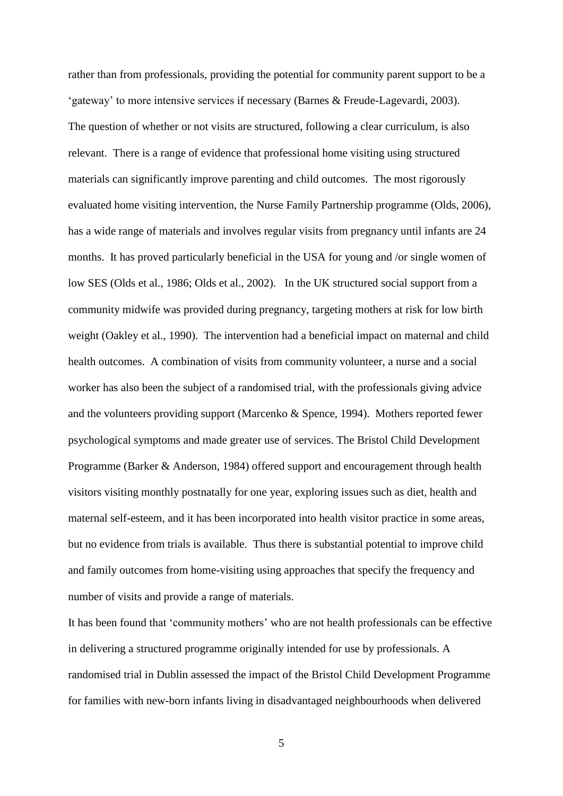rather than from professionals, providing the potential for community parent support to be a 'gateway' to more intensive services if necessary (Barnes & Freude-Lagevardi, 2003). The question of whether or not visits are structured, following a clear curriculum, is also relevant. There is a range of evidence that professional home visiting using structured materials can significantly improve parenting and child outcomes. The most rigorously evaluated home visiting intervention, the Nurse Family Partnership programme (Olds, 2006), has a wide range of materials and involves regular visits from pregnancy until infants are 24 months. It has proved particularly beneficial in the USA for young and /or single women of low SES (Olds et al., 1986; Olds et al., 2002). In the UK structured social support from a community midwife was provided during pregnancy, targeting mothers at risk for low birth weight (Oakley et al., 1990). The intervention had a beneficial impact on maternal and child health outcomes. A combination of visits from community volunteer, a nurse and a social worker has also been the subject of a randomised trial, with the professionals giving advice and the volunteers providing support (Marcenko & Spence, 1994). Mothers reported fewer psychological symptoms and made greater use of services. The Bristol Child Development Programme (Barker & Anderson, 1984) offered support and encouragement through health visitors visiting monthly postnatally for one year, exploring issues such as diet, health and maternal self-esteem, and it has been incorporated into health visitor practice in some areas, but no evidence from trials is available. Thus there is substantial potential to improve child and family outcomes from home-visiting using approaches that specify the frequency and number of visits and provide a range of materials.

It has been found that 'community mothers' who are not health professionals can be effective in delivering a structured programme originally intended for use by professionals. A randomised trial in Dublin assessed the impact of the Bristol Child Development Programme for families with new-born infants living in disadvantaged neighbourhoods when delivered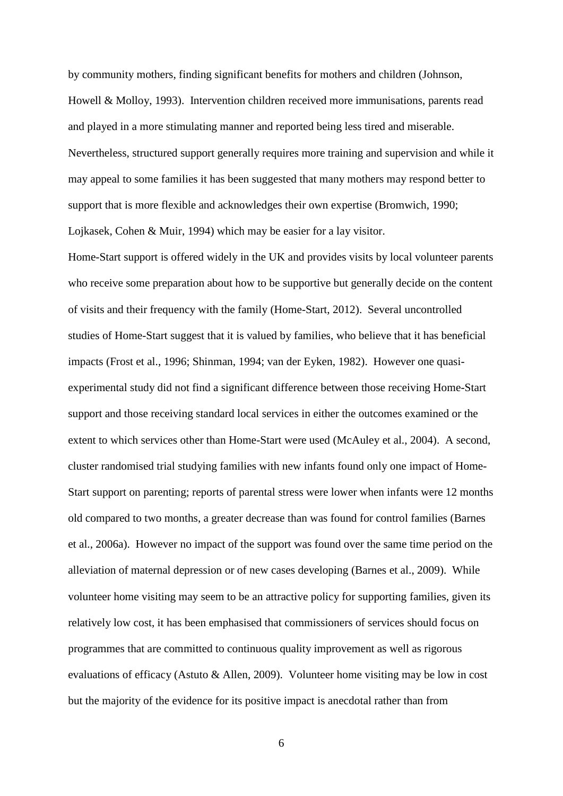by community mothers, finding significant benefits for mothers and children (Johnson, Howell & Molloy, 1993). Intervention children received more immunisations, parents read and played in a more stimulating manner and reported being less tired and miserable. Nevertheless, structured support generally requires more training and supervision and while it may appeal to some families it has been suggested that many mothers may respond better to support that is more flexible and acknowledges their own expertise (Bromwich, 1990; Lojkasek, Cohen & Muir, 1994) which may be easier for a lay visitor.

Home-Start support is offered widely in the UK and provides visits by local volunteer parents who receive some preparation about how to be supportive but generally decide on the content of visits and their frequency with the family (Home-Start, 2012). Several uncontrolled studies of Home-Start suggest that it is valued by families, who believe that it has beneficial impacts (Frost et al., 1996; Shinman, 1994; van der Eyken, 1982). However one quasiexperimental study did not find a significant difference between those receiving Home-Start support and those receiving standard local services in either the outcomes examined or the extent to which services other than Home-Start were used (McAuley et al., 2004). A second, cluster randomised trial studying families with new infants found only one impact of Home-Start support on parenting; reports of parental stress were lower when infants were 12 months old compared to two months, a greater decrease than was found for control families (Barnes et al., 2006a). However no impact of the support was found over the same time period on the alleviation of maternal depression or of new cases developing (Barnes et al., 2009). While volunteer home visiting may seem to be an attractive policy for supporting families, given its relatively low cost, it has been emphasised that commissioners of services should focus on programmes that are committed to continuous quality improvement as well as rigorous evaluations of efficacy (Astuto & Allen, 2009). Volunteer home visiting may be low in cost but the majority of the evidence for its positive impact is anecdotal rather than from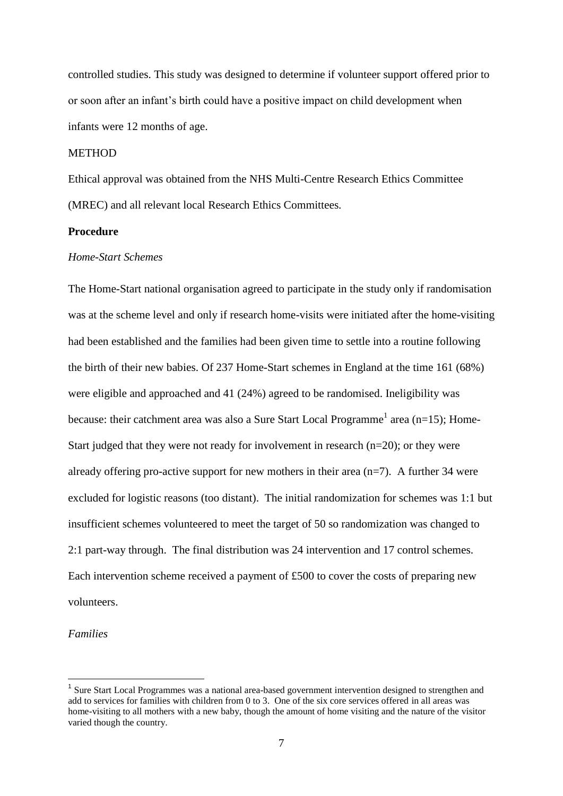controlled studies. This study was designed to determine if volunteer support offered prior to or soon after an infant's birth could have a positive impact on child development when infants were 12 months of age.

# **METHOD**

Ethical approval was obtained from the NHS Multi-Centre Research Ethics Committee (MREC) and all relevant local Research Ethics Committees*.* 

# **Procedure**

# *Home-Start Schemes*

The Home-Start national organisation agreed to participate in the study only if randomisation was at the scheme level and only if research home-visits were initiated after the home-visiting had been established and the families had been given time to settle into a routine following the birth of their new babies. Of 237 Home-Start schemes in England at the time 161 (68%) were eligible and approached and 41 (24%) agreed to be randomised. Ineligibility was because: their catchment area was also a Sure Start Local Programme<sup>1</sup> area (n=15); Home-Start judged that they were not ready for involvement in research (n=20); or they were already offering pro-active support for new mothers in their area  $(n=7)$ . A further 34 were excluded for logistic reasons (too distant). The initial randomization for schemes was 1:1 but insufficient schemes volunteered to meet the target of 50 so randomization was changed to 2:1 part-way through. The final distribution was 24 intervention and 17 control schemes. Each intervention scheme received a payment of £500 to cover the costs of preparing new volunteers.

## *Families*

<sup>1</sup> Sure Start Local Programmes was a national area-based government intervention designed to strengthen and add to services for families with children from 0 to 3. One of the six core services offered in all areas was home-visiting to all mothers with a new baby, though the amount of home visiting and the nature of the visitor varied though the country.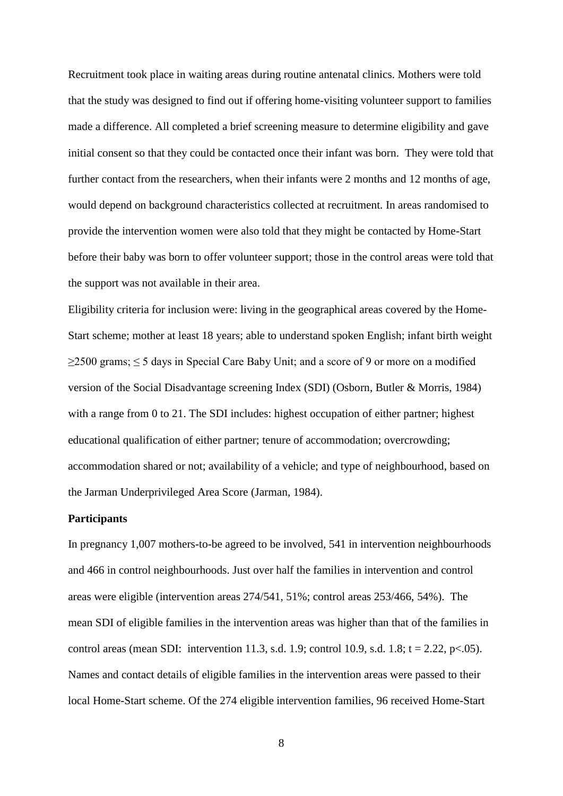Recruitment took place in waiting areas during routine antenatal clinics. Mothers were told that the study was designed to find out if offering home-visiting volunteer support to families made a difference. All completed a brief screening measure to determine eligibility and gave initial consent so that they could be contacted once their infant was born. They were told that further contact from the researchers, when their infants were 2 months and 12 months of age, would depend on background characteristics collected at recruitment. In areas randomised to provide the intervention women were also told that they might be contacted by Home-Start before their baby was born to offer volunteer support; those in the control areas were told that the support was not available in their area.

Eligibility criteria for inclusion were: living in the geographical areas covered by the Home-Start scheme; mother at least 18 years; able to understand spoken English; infant birth weight  $\geq$ 2500 grams;  $\leq$  5 days in Special Care Baby Unit; and a score of 9 or more on a modified version of the Social Disadvantage screening Index (SDI) (Osborn, Butler & Morris, 1984) with a range from 0 to 21. The SDI includes: highest occupation of either partner; highest educational qualification of either partner; tenure of accommodation; overcrowding; accommodation shared or not; availability of a vehicle; and type of neighbourhood, based on the Jarman Underprivileged Area Score (Jarman, 1984).

# **Participants**

In pregnancy 1,007 mothers-to-be agreed to be involved, 541 in intervention neighbourhoods and 466 in control neighbourhoods. Just over half the families in intervention and control areas were eligible (intervention areas 274/541, 51%; control areas 253/466, 54%). The mean SDI of eligible families in the intervention areas was higher than that of the families in control areas (mean SDI: intervention 11.3, s.d. 1.9; control 10.9, s.d. 1.8;  $t = 2.22$ ,  $p < .05$ ). Names and contact details of eligible families in the intervention areas were passed to their local Home-Start scheme. Of the 274 eligible intervention families, 96 received Home-Start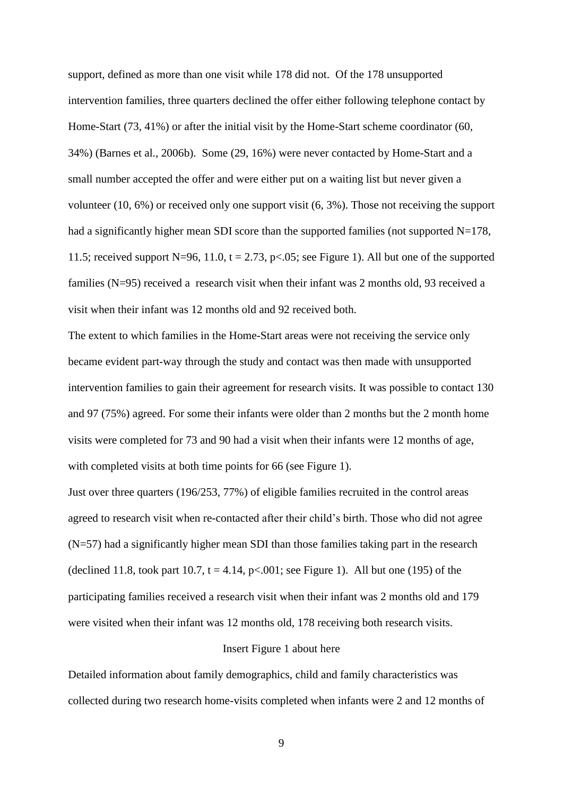support, defined as more than one visit while 178 did not. Of the 178 unsupported intervention families, three quarters declined the offer either following telephone contact by Home-Start (73, 41%) or after the initial visit by the Home-Start scheme coordinator (60, 34%) (Barnes et al., 2006b). Some (29, 16%) were never contacted by Home-Start and a small number accepted the offer and were either put on a waiting list but never given a volunteer (10, 6%) or received only one support visit (6, 3%). Those not receiving the support had a significantly higher mean SDI score than the supported families (not supported N=178, 11.5; received support N=96, 11.0,  $t = 2.73$ ,  $p < .05$ ; see Figure 1). All but one of the supported families (N=95) received a research visit when their infant was 2 months old, 93 received a visit when their infant was 12 months old and 92 received both.

The extent to which families in the Home-Start areas were not receiving the service only became evident part-way through the study and contact was then made with unsupported intervention families to gain their agreement for research visits. It was possible to contact 130 and 97 (75%) agreed. For some their infants were older than 2 months but the 2 month home visits were completed for 73 and 90 had a visit when their infants were 12 months of age, with completed visits at both time points for 66 (see Figure 1).

Just over three quarters (196/253, 77%) of eligible families recruited in the control areas agreed to research visit when re-contacted after their child's birth. Those who did not agree (N=57) had a significantly higher mean SDI than those families taking part in the research (declined 11.8, took part 10.7,  $t = 4.14$ ,  $p < .001$ ; see Figure 1). All but one (195) of the participating families received a research visit when their infant was 2 months old and 179 were visited when their infant was 12 months old, 178 receiving both research visits.

## Insert Figure 1 about here

Detailed information about family demographics, child and family characteristics was collected during two research home-visits completed when infants were 2 and 12 months of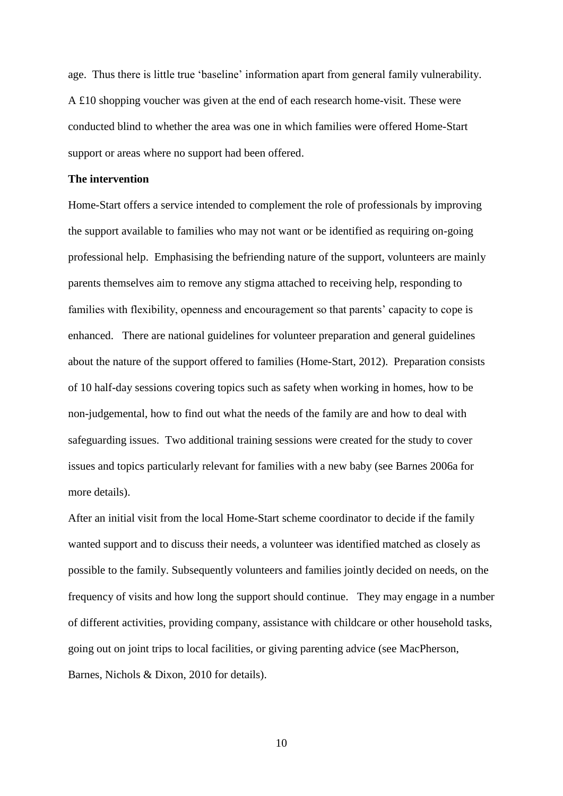age. Thus there is little true 'baseline' information apart from general family vulnerability. A  $£10$  shopping voucher was given at the end of each research home-visit. These were conducted blind to whether the area was one in which families were offered Home-Start support or areas where no support had been offered.

## **The intervention**

Home-Start offers a service intended to complement the role of professionals by improving the support available to families who may not want or be identified as requiring on-going professional help. Emphasising the befriending nature of the support, volunteers are mainly parents themselves aim to remove any stigma attached to receiving help, responding to families with flexibility, openness and encouragement so that parents' capacity to cope is enhanced. There are national guidelines for volunteer preparation and general guidelines about the nature of the support offered to families (Home-Start, 2012). Preparation consists of 10 half-day sessions covering topics such as safety when working in homes, how to be non-judgemental, how to find out what the needs of the family are and how to deal with safeguarding issues. Two additional training sessions were created for the study to cover issues and topics particularly relevant for families with a new baby (see Barnes 2006a for more details).

After an initial visit from the local Home-Start scheme coordinator to decide if the family wanted support and to discuss their needs, a volunteer was identified matched as closely as possible to the family. Subsequently volunteers and families jointly decided on needs, on the frequency of visits and how long the support should continue. They may engage in a number of different activities, providing company, assistance with childcare or other household tasks, going out on joint trips to local facilities, or giving parenting advice (see MacPherson, Barnes, Nichols & Dixon, 2010 for details).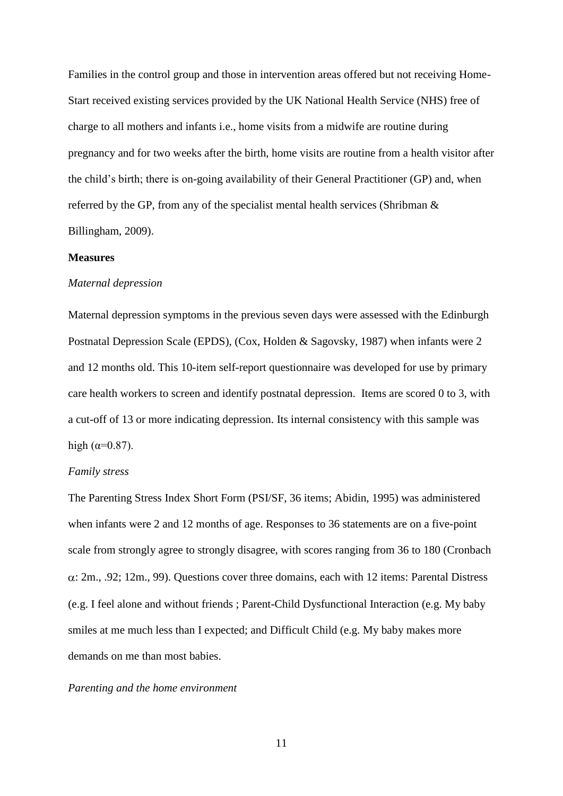Families in the control group and those in intervention areas offered but not receiving Home-Start received existing services provided by the UK National Health Service (NHS) free of charge to all mothers and infants i.e., home visits from a midwife are routine during pregnancy and for two weeks after the birth, home visits are routine from a health visitor after the child's birth; there is on-going availability of their General Practitioner (GP) and, when referred by the GP, from any of the specialist mental health services (Shribman & Billingham, 2009).

## **Measures**

# *Maternal depression*

Maternal depression symptoms in the previous seven days were assessed with the Edinburgh Postnatal Depression Scale (EPDS), (Cox, Holden & Sagovsky, 1987) when infants were 2 and 12 months old. This 10-item self-report questionnaire was developed for use by primary care health workers to screen and identify postnatal depression. Items are scored 0 to 3, with a cut-off of 13 or more indicating depression. Its internal consistency with this sample was high  $(\alpha=0.87)$ .

# *Family stress*

The Parenting Stress Index Short Form (PSI/SF, 36 items; Abidin, 1995) was administered when infants were 2 and 12 months of age. Responses to 36 statements are on a five-point scale from strongly agree to strongly disagree, with scores ranging from 36 to 180 (Cronbach  $\alpha$ : 2m., .92; 12m., .99). Questions cover three domains, each with 12 items: Parental Distress (e.g. I feel alone and without friends ; Parent-Child Dysfunctional Interaction (e.g. My baby smiles at me much less than I expected; and Difficult Child (e.g. My baby makes more demands on me than most babies.

## *Parenting and the home environment*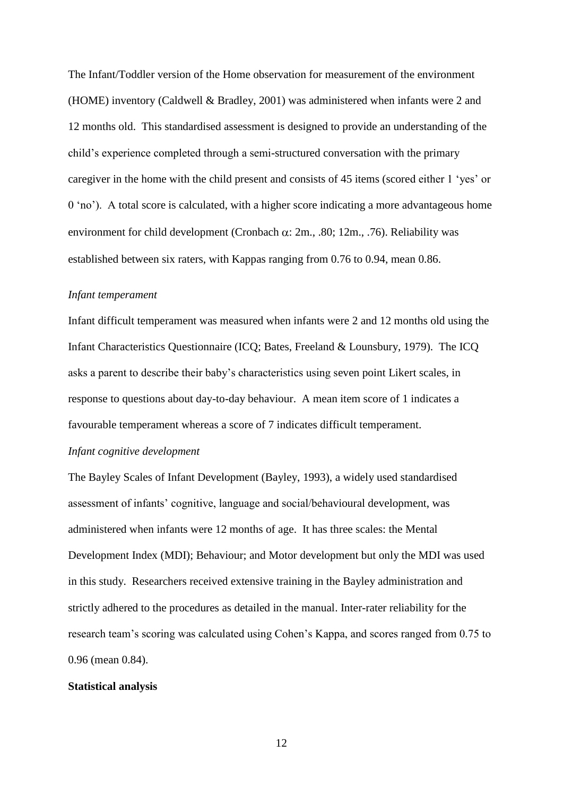The Infant/Toddler version of the Home observation for measurement of the environment (HOME) inventory (Caldwell & Bradley, 2001) was administered when infants were 2 and 12 months old. This standardised assessment is designed to provide an understanding of the child's experience completed through a semi-structured conversation with the primary caregiver in the home with the child present and consists of 45 items (scored either 1 'yes' or 0 'no'). A total score is calculated, with a higher score indicating a more advantageous home environment for child development (Cronbach  $\alpha$ : 2m., .80; 12m., .76). Reliability was established between six raters, with Kappas ranging from 0.76 to 0.94, mean 0.86.

## *Infant temperament*

Infant difficult temperament was measured when infants were 2 and 12 months old using the Infant Characteristics Questionnaire (ICQ; Bates, Freeland & Lounsbury, 1979). The ICQ asks a parent to describe their baby's characteristics using seven point Likert scales, in response to questions about day-to-day behaviour. A mean item score of 1 indicates a favourable temperament whereas a score of 7 indicates difficult temperament.

# *Infant cognitive development*

The Bayley Scales of Infant Development (Bayley, 1993), a widely used standardised assessment of infants' cognitive, language and social/behavioural development, was administered when infants were 12 months of age. It has three scales: the Mental Development Index (MDI); Behaviour; and Motor development but only the MDI was used in this study. Researchers received extensive training in the Bayley administration and strictly adhered to the procedures as detailed in the manual. Inter-rater reliability for the research team's scoring was calculated using Cohen's Kappa, and scores ranged from 0.75 to 0.96 (mean 0.84).

# **Statistical analysis**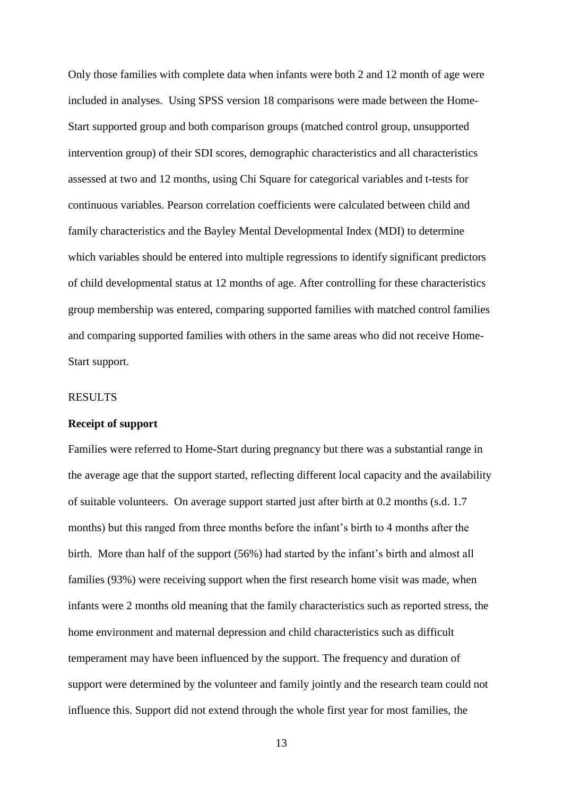Only those families with complete data when infants were both 2 and 12 month of age were included in analyses. Using SPSS version 18 comparisons were made between the Home-Start supported group and both comparison groups (matched control group, unsupported intervention group) of their SDI scores, demographic characteristics and all characteristics assessed at two and 12 months, using Chi Square for categorical variables and t-tests for continuous variables. Pearson correlation coefficients were calculated between child and family characteristics and the Bayley Mental Developmental Index (MDI) to determine which variables should be entered into multiple regressions to identify significant predictors of child developmental status at 12 months of age. After controlling for these characteristics group membership was entered, comparing supported families with matched control families and comparing supported families with others in the same areas who did not receive Home-Start support.

# RESULTS

## **Receipt of support**

Families were referred to Home-Start during pregnancy but there was a substantial range in the average age that the support started, reflecting different local capacity and the availability of suitable volunteers. On average support started just after birth at 0.2 months (s.d. 1.7 months) but this ranged from three months before the infant's birth to 4 months after the birth. More than half of the support (56%) had started by the infant's birth and almost all families (93%) were receiving support when the first research home visit was made, when infants were 2 months old meaning that the family characteristics such as reported stress, the home environment and maternal depression and child characteristics such as difficult temperament may have been influenced by the support. The frequency and duration of support were determined by the volunteer and family jointly and the research team could not influence this. Support did not extend through the whole first year for most families, the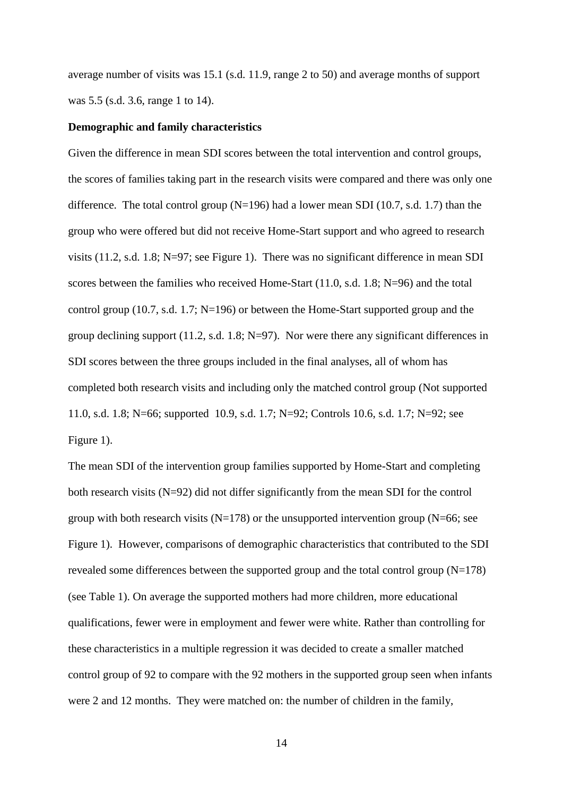average number of visits was 15.1 (s.d. 11.9, range 2 to 50) and average months of support was 5.5 (s.d. 3.6, range 1 to 14).

## **Demographic and family characteristics**

Given the difference in mean SDI scores between the total intervention and control groups, the scores of families taking part in the research visits were compared and there was only one difference. The total control group  $(N=196)$  had a lower mean SDI (10.7, s.d. 1.7) than the group who were offered but did not receive Home-Start support and who agreed to research visits (11.2, s.d. 1.8; N=97; see Figure 1). There was no significant difference in mean SDI scores between the families who received Home-Start (11.0, s.d. 1.8; N=96) and the total control group (10.7, s.d. 1.7;  $N=196$ ) or between the Home-Start supported group and the group declining support (11.2, s.d. 1.8; N=97). Nor were there any significant differences in SDI scores between the three groups included in the final analyses, all of whom has completed both research visits and including only the matched control group (Not supported 11.0, s.d. 1.8; N=66; supported 10.9, s.d. 1.7; N=92; Controls 10.6, s.d. 1.7; N=92; see Figure 1).

The mean SDI of the intervention group families supported by Home-Start and completing both research visits (N=92) did not differ significantly from the mean SDI for the control group with both research visits ( $N=178$ ) or the unsupported intervention group ( $N=66$ ; see Figure 1). However, comparisons of demographic characteristics that contributed to the SDI revealed some differences between the supported group and the total control group (N=178) (see Table 1). On average the supported mothers had more children, more educational qualifications, fewer were in employment and fewer were white. Rather than controlling for these characteristics in a multiple regression it was decided to create a smaller matched control group of 92 to compare with the 92 mothers in the supported group seen when infants were 2 and 12 months. They were matched on: the number of children in the family,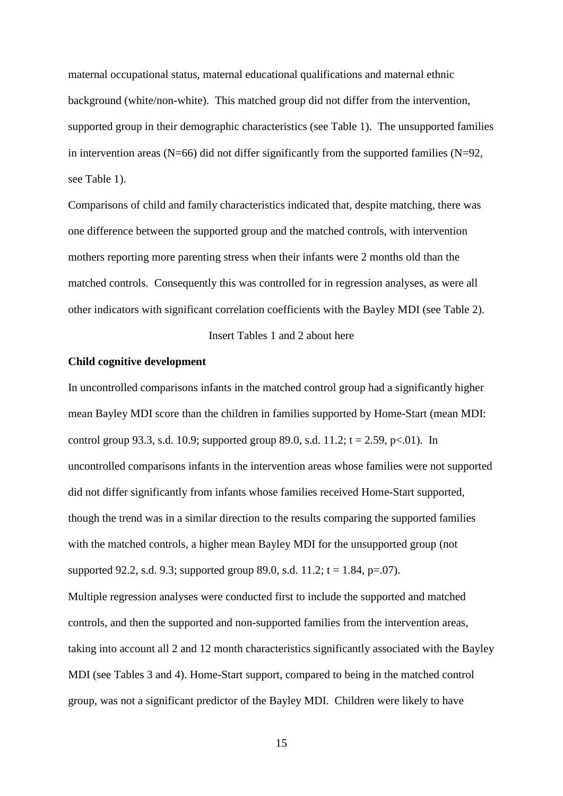maternal occupational status, maternal educational qualifications and maternal ethnic background (white/non-white). This matched group did not differ from the intervention, supported group in their demographic characteristics (see Table 1). The unsupported families in intervention areas ( $N=66$ ) did not differ significantly from the supported families ( $N=92$ , see Table 1).

Comparisons of child and family characteristics indicated that, despite matching, there was one difference between the supported group and the matched controls, with intervention mothers reporting more parenting stress when their infants were 2 months old than the matched controls. Consequently this was controlled for in regression analyses, as were all other indicators with significant correlation coefficients with the Bayley MDI (see Table 2).

Insert Tables 1 and 2 about here

# **Child cognitive development**

In uncontrolled comparisons infants in the matched control group had a significantly higher mean Bayley MDI score than the children in families supported by Home-Start (mean MDI: control group 93.3, s.d. 10.9; supported group 89.0, s.d. 11.2;  $t = 2.59$ , p $\lt 0.01$ ). In uncontrolled comparisons infants in the intervention areas whose families were not supported did not differ significantly from infants whose families received Home-Start supported, though the trend was in a similar direction to the results comparing the supported families with the matched controls, a higher mean Bayley MDI for the unsupported group (not supported 92.2, s.d. 9.3; supported group 89.0, s.d. 11.2;  $t = 1.84$ , p=.07). Multiple regression analyses were conducted first to include the supported and matched controls, and then the supported and non-supported families from the intervention areas, taking into account all 2 and 12 month characteristics significantly associated with the Bayley MDI (see Tables 3 and 4). Home-Start support, compared to being in the matched control group, was not a significant predictor of the Bayley MDI. Children were likely to have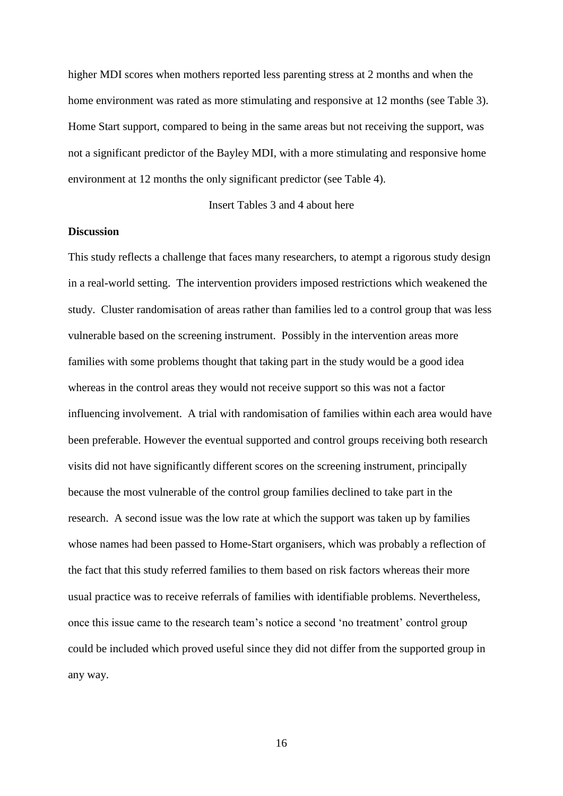higher MDI scores when mothers reported less parenting stress at 2 months and when the home environment was rated as more stimulating and responsive at 12 months (see Table 3). Home Start support, compared to being in the same areas but not receiving the support, was not a significant predictor of the Bayley MDI, with a more stimulating and responsive home environment at 12 months the only significant predictor (see Table 4).

Insert Tables 3 and 4 about here

# **Discussion**

This study reflects a challenge that faces many researchers, to atempt a rigorous study design in a real-world setting. The intervention providers imposed restrictions which weakened the study. Cluster randomisation of areas rather than families led to a control group that was less vulnerable based on the screening instrument. Possibly in the intervention areas more families with some problems thought that taking part in the study would be a good idea whereas in the control areas they would not receive support so this was not a factor influencing involvement. A trial with randomisation of families within each area would have been preferable. However the eventual supported and control groups receiving both research visits did not have significantly different scores on the screening instrument, principally because the most vulnerable of the control group families declined to take part in the research. A second issue was the low rate at which the support was taken up by families whose names had been passed to Home-Start organisers, which was probably a reflection of the fact that this study referred families to them based on risk factors whereas their more usual practice was to receive referrals of families with identifiable problems. Nevertheless, once this issue came to the research team's notice a second 'no treatment' control group could be included which proved useful since they did not differ from the supported group in any way.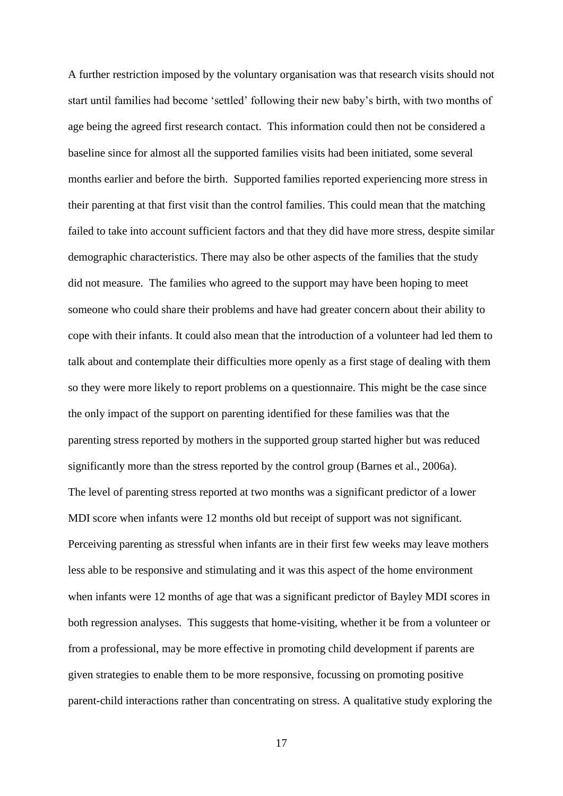A further restriction imposed by the voluntary organisation was that research visits should not start until families had become 'settled' following their new baby's birth, with two months of age being the agreed first research contact. This information could then not be considered a baseline since for almost all the supported families visits had been initiated, some several months earlier and before the birth. Supported families reported experiencing more stress in their parenting at that first visit than the control families. This could mean that the matching failed to take into account sufficient factors and that they did have more stress, despite similar demographic characteristics. There may also be other aspects of the families that the study did not measure. The families who agreed to the support may have been hoping to meet someone who could share their problems and have had greater concern about their ability to cope with their infants. It could also mean that the introduction of a volunteer had led them to talk about and contemplate their difficulties more openly as a first stage of dealing with them so they were more likely to report problems on a questionnaire. This might be the case since the only impact of the support on parenting identified for these families was that the parenting stress reported by mothers in the supported group started higher but was reduced significantly more than the stress reported by the control group (Barnes et al., 2006a). The level of parenting stress reported at two months was a significant predictor of a lower MDI score when infants were 12 months old but receipt of support was not significant. Perceiving parenting as stressful when infants are in their first few weeks may leave mothers less able to be responsive and stimulating and it was this aspect of the home environment when infants were 12 months of age that was a significant predictor of Bayley MDI scores in both regression analyses. This suggests that home-visiting, whether it be from a volunteer or from a professional, may be more effective in promoting child development if parents are given strategies to enable them to be more responsive, focussing on promoting positive parent-child interactions rather than concentrating on stress. A qualitative study exploring the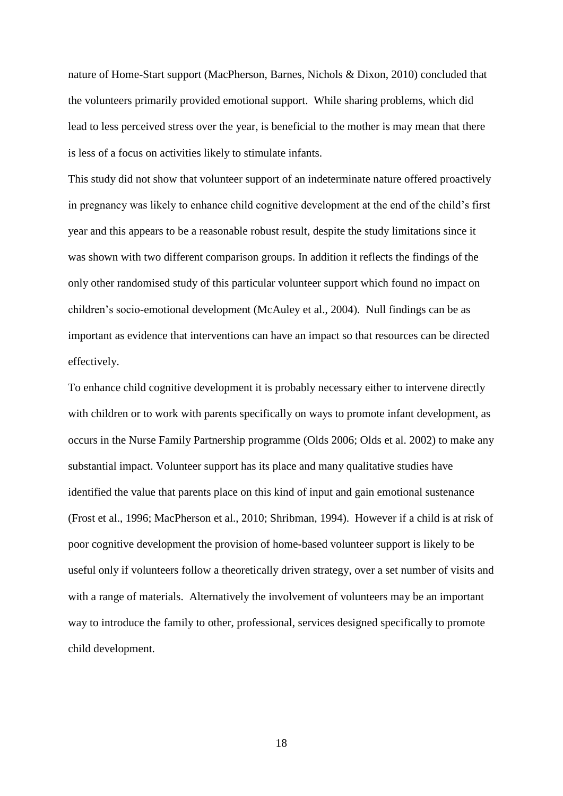nature of Home-Start support (MacPherson, Barnes, Nichols & Dixon, 2010) concluded that the volunteers primarily provided emotional support. While sharing problems, which did lead to less perceived stress over the year, is beneficial to the mother is may mean that there is less of a focus on activities likely to stimulate infants.

This study did not show that volunteer support of an indeterminate nature offered proactively in pregnancy was likely to enhance child cognitive development at the end of the child's first year and this appears to be a reasonable robust result, despite the study limitations since it was shown with two different comparison groups. In addition it reflects the findings of the only other randomised study of this particular volunteer support which found no impact on children's socio-emotional development (McAuley et al., 2004). Null findings can be as important as evidence that interventions can have an impact so that resources can be directed effectively.

To enhance child cognitive development it is probably necessary either to intervene directly with children or to work with parents specifically on ways to promote infant development, as occurs in the Nurse Family Partnership programme (Olds 2006; Olds et al. 2002) to make any substantial impact. Volunteer support has its place and many qualitative studies have identified the value that parents place on this kind of input and gain emotional sustenance (Frost et al., 1996; MacPherson et al., 2010; Shribman, 1994). However if a child is at risk of poor cognitive development the provision of home-based volunteer support is likely to be useful only if volunteers follow a theoretically driven strategy, over a set number of visits and with a range of materials. Alternatively the involvement of volunteers may be an important way to introduce the family to other, professional, services designed specifically to promote child development.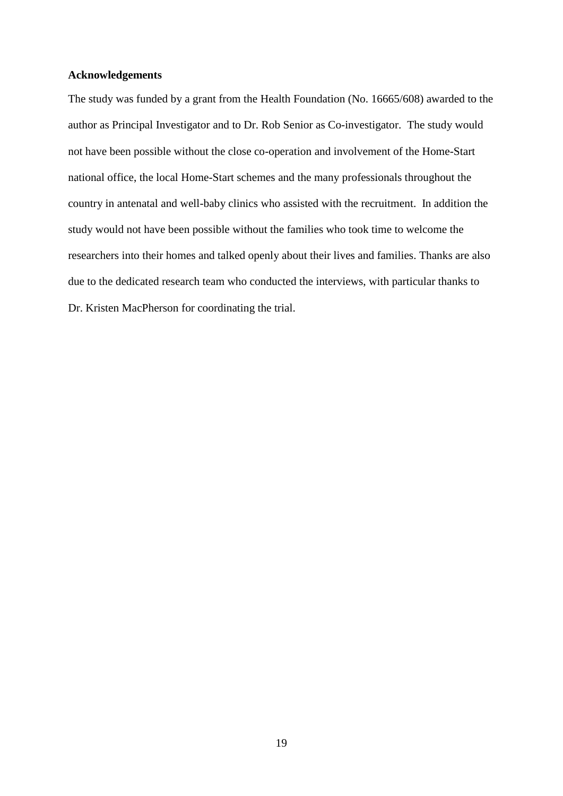# **Acknowledgements**

The study was funded by a grant from the Health Foundation (No. 16665/608) awarded to the author as Principal Investigator and to Dr. Rob Senior as Co-investigator. The study would not have been possible without the close co-operation and involvement of the Home-Start national office, the local Home-Start schemes and the many professionals throughout the country in antenatal and well-baby clinics who assisted with the recruitment. In addition the study would not have been possible without the families who took time to welcome the researchers into their homes and talked openly about their lives and families. Thanks are also due to the dedicated research team who conducted the interviews, with particular thanks to Dr. Kristen MacPherson for coordinating the trial.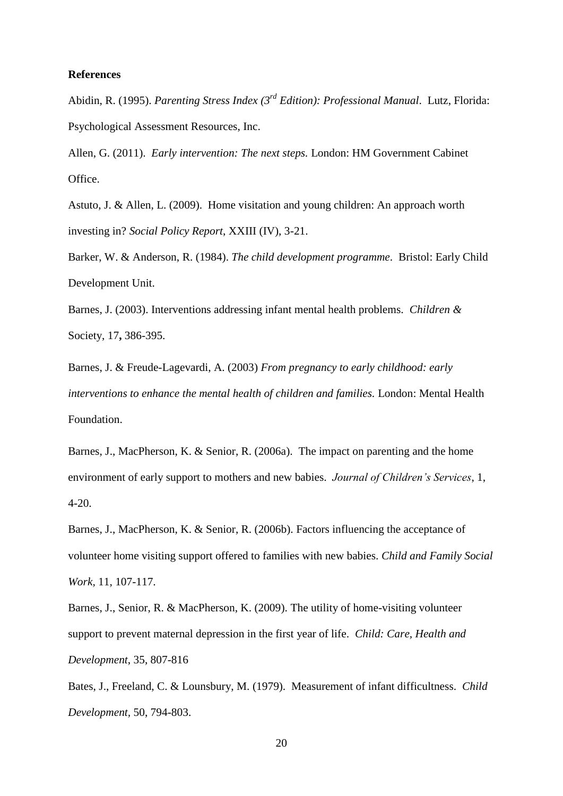# **References**

Abidin, R. (1995). *Parenting Stress Index (3rd Edition): Professional Manual*. Lutz, Florida: Psychological Assessment Resources, Inc.

Allen, G. (2011). *Early intervention: The next steps.* London: HM Government Cabinet Office.

Astuto, J. & Allen, L. (2009). Home visitation and young children: An approach worth investing in? *Social Policy Report*, XXIII (IV), 3-21.

Barker, W. & Anderson, R. (1984). *The child development programme*. Bristol: Early Child Development Unit.

Barnes, J. (2003). Interventions addressing infant mental health problems. *Children &*  Society, 17**,** 386-395.

Barnes, J. & Freude-Lagevardi, A. (2003) *From pregnancy to early childhood: early interventions to enhance the mental health of children and families.* London: Mental Health Foundation.

Barnes, J., MacPherson, K. & Senior, R. (2006a). The impact on parenting and the home environment of early support to mothers and new babies. *Journal of Children's Services*, 1, 4-20.

Barnes, J., MacPherson, K. & Senior, R. (2006b). Factors influencing the acceptance of volunteer home visiting support offered to families with new babies. *Child and Family Social Work,* 11, 107-117.

Barnes, J., Senior, R. & MacPherson, K. (2009). The utility of home-visiting volunteer support to prevent maternal depression in the first year of life. *Child: Care, Health and Development*, 35, 807-816

Bates, J., Freeland, C. & Lounsbury, M. (1979). Measurement of infant difficultness. *Child Development,* 50, 794-803.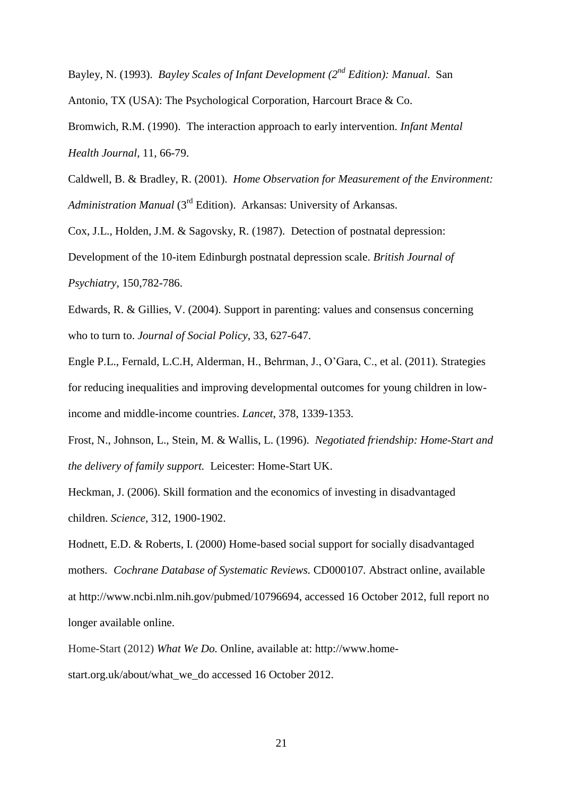Bayley, N. (1993). *Bayley Scales of Infant Development (2nd Edition): Manual*. San

Antonio, TX (USA): The Psychological Corporation, Harcourt Brace & Co.

Bromwich, R.M. (1990). The interaction approach to early intervention. *Infant Mental Health Journal*, 11, 66-79.

Caldwell, B. & Bradley, R. (2001). *Home Observation for Measurement of the Environment: Administration Manual* (3rd Edition). Arkansas: University of Arkansas.

Cox, J.L., Holden, J.M. & Sagovsky, R. (1987). Detection of postnatal depression:

Development of the 10-item Edinburgh postnatal depression scale. *British Journal of Psychiatry*, 150,782-786.

Edwards, R. & Gillies, V. (2004). Support in parenting: values and consensus concerning who to turn to. *Journal of Social Policy*, 33, 627-647.

Engle P.L., Fernald, L.C.H, Alderman, H., Behrman, J., O'Gara, C., et al. (2011). Strategies for reducing inequalities and improving developmental outcomes for young children in lowincome and middle-income countries. *Lancet*, 378, 1339-1353.

Frost, N., Johnson, L., Stein, M. & Wallis, L. (1996). *Negotiated friendship: Home-Start and the delivery of family support.* Leicester: Home-Start UK.

Heckman, J. (2006). Skill formation and the economics of investing in disadvantaged children. *Science*, 312, 1900-1902.

Hodnett, E.D. & Roberts, I. (2000) Home-based social support for socially disadvantaged mothers. *Cochrane Database of Systematic Reviews.* CD000107*.* Abstract online, available at http://www.ncbi.nlm.nih.gov/pubmed/10796694, accessed 16 October 2012, full report no longer available online.

Home-Start (2012) *What We Do.* Online, available at: http://www.homestart.org.uk/about/what\_we\_do accessed 16 October 2012.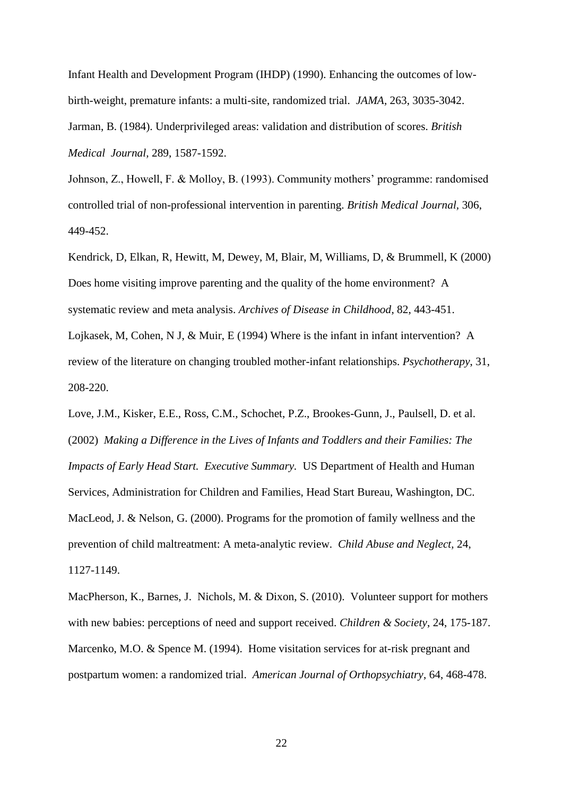Infant Health and Development Program (IHDP) (1990). Enhancing the outcomes of lowbirth-weight, premature infants: a multi-site, randomized trial. *JAMA,* 263, 3035-3042. Jarman, B. (1984). Underprivileged areas: validation and distribution of scores. *British Medical Journal,* 289, 1587-1592.

Johnson, Z., Howell, F. & Molloy, B. (1993). Community mothers' programme: randomised controlled trial of non-professional intervention in parenting. *British Medical Journal,* 306, 449-452.

Kendrick, D, Elkan, R, Hewitt, M, Dewey, M, Blair, M, Williams, D, & Brummell, K (2000) Does home visiting improve parenting and the quality of the home environment? A systematic review and meta analysis. *Archives of Disease in Childhood*, 82, 443-451. Lojkasek, M, Cohen, N J, & Muir, E (1994) Where is the infant in infant intervention? A review of the literature on changing troubled mother-infant relationships. *Psychotherapy*, 31, 208-220.

Love, J.M., Kisker, E.E., Ross, C.M., Schochet, P.Z., Brookes-Gunn, J., Paulsell, D. et al. (2002) *Making a Difference in the Lives of Infants and Toddlers and their Families: The Impacts of Early Head Start. Executive Summary.* US Department of Health and Human Services, Administration for Children and Families, Head Start Bureau, Washington, DC. MacLeod, J. & Nelson, G. (2000). Programs for the promotion of family wellness and the prevention of child maltreatment: A meta-analytic review. *Child Abuse and Neglect,* 24, 1127-1149.

MacPherson, K., Barnes, J. Nichols, M. & Dixon, S. (2010). Volunteer support for mothers with new babies: perceptions of need and support received. *Children & Society*, 24, 175-187. Marcenko, M.O. & Spence M. (1994). Home visitation services for at-risk pregnant and postpartum women: a randomized trial. *American Journal of Orthopsychiatry*, 64, 468-478.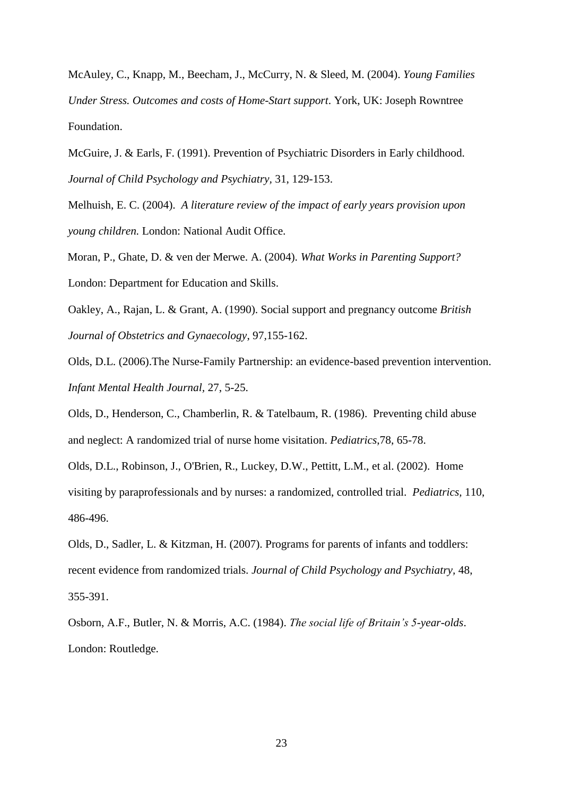McAuley, C., Knapp, M., Beecham, J., McCurry, N. & Sleed, M. (2004). *Young Families Under Stress. Outcomes and costs of Home-Start support*. York, UK: Joseph Rowntree Foundation.

McGuire, J. & Earls, F. (1991). Prevention of Psychiatric Disorders in Early childhood. *Journal of Child Psychology and Psychiatry,* 31, 129-153.

Melhuish, E. C. (2004). *A literature review of the impact of early years provision upon young children.* London: National Audit Office.

Moran, P., Ghate, D. & ven der Merwe. A. (2004). *What Works in Parenting Support?* London: Department for Education and Skills.

Oakley, A., Rajan, L. & Grant, A. (1990). Social support and pregnancy outcome *British Journal of Obstetrics and Gynaecology*, 97*,*155-162.

Olds, D.L. (2006).The Nurse-Family Partnership: an evidence-based prevention intervention. *Infant Mental Health Journal,* 27, 5-25.

Olds, D., Henderson, C., Chamberlin, R. & Tatelbaum, R. (1986). Preventing child abuse and neglect: A randomized trial of nurse home visitation. *Pediatrics*,78, 65-78.

Olds, D.L., Robinson, J., O'Brien, R., Luckey, D.W., Pettitt, L.M., et al. (2002). Home visiting by paraprofessionals and by nurses: a randomized, controlled trial. *Pediatrics,* 110, 486-496.

Olds, D., Sadler, L. & Kitzman, H. (2007). Programs for parents of infants and toddlers: recent evidence from randomized trials. *Journal of Child Psychology and Psychiatry,* 48, 355-391.

Osborn, A.F., Butler, N. & Morris, A.C. (1984). *The social life of Britain's 5-year-olds*. London: Routledge.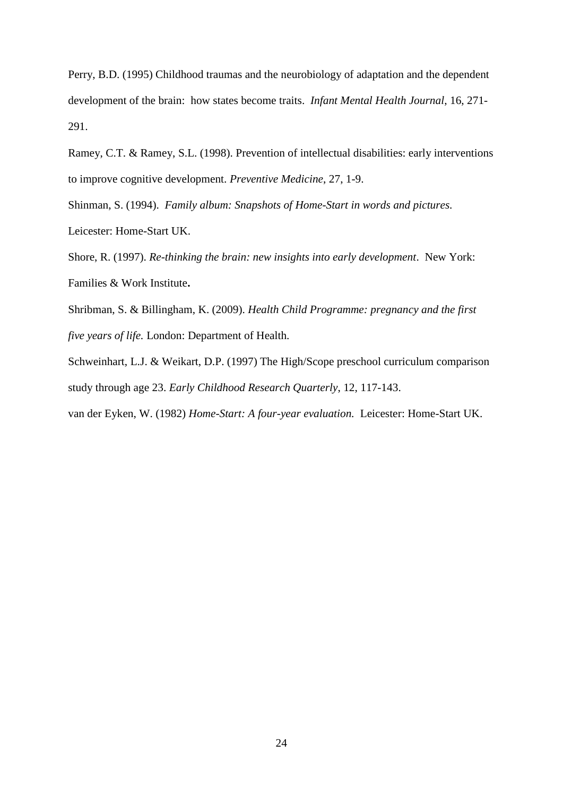Perry, B.D. (1995) Childhood traumas and the neurobiology of adaptation and the dependent development of the brain: how states become traits. *Infant Mental Health Journal*, 16, 271- 291.

Ramey, C.T. & Ramey, S.L. (1998). Prevention of intellectual disabilities: early interventions to improve cognitive development. *Preventive Medicine*, 27, 1-9.

Shinman, S. (1994). *Family album: Snapshots of Home-Start in words and pictures.* Leicester: Home-Start UK.

Shore, R. (1997). *Re-thinking the brain: new insights into early development*. New York: Families & Work Institute**.**

Shribman, S. & Billingham, K. (2009). *Health Child Programme: pregnancy and the first five years of life.* London: Department of Health.

Schweinhart, L.J. & Weikart, D.P. (1997) The High/Scope preschool curriculum comparison study through age 23. *Early Childhood Research Quarterly*, 12, 117-143.

van der Eyken, W. (1982) *Home-Start: A four-year evaluation.* Leicester: Home-Start UK.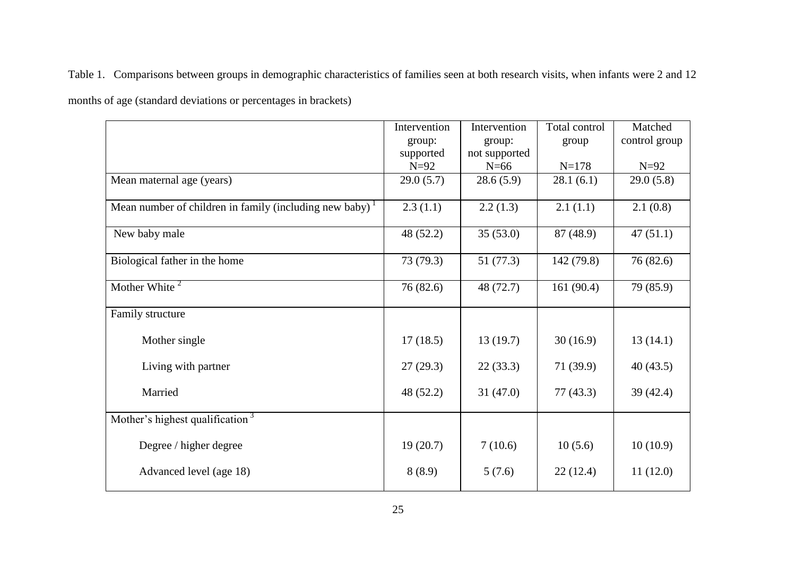Table 1. Comparisons between groups in demographic characteristics of families seen at both research visits, when infants were 2 and 12

months of age (standard deviations or percentages in brackets)

|                                                                      | Intervention | Intervention  | Total control | Matched       |
|----------------------------------------------------------------------|--------------|---------------|---------------|---------------|
|                                                                      | group:       | group:        | group         | control group |
|                                                                      | supported    | not supported |               |               |
|                                                                      | $N=92$       | $N=66$        | $N = 178$     | $N=92$        |
| Mean maternal age (years)                                            | 29.0(5.7)    | 28.6(5.9)     | 28.1(6.1)     | 29.0(5.8)     |
| Mean number of children in family (including new baby) $\frac{1}{1}$ | 2.3(1.1)     | 2.2(1.3)      | 2.1(1.1)      | 2.1(0.8)      |
| New baby male                                                        | 48 (52.2)    | 35(53.0)      | 87 (48.9)     | 47(51.1)      |
| Biological father in the home                                        | 73 (79.3)    | 51 (77.3)     | 142 (79.8)    | 76(82.6)      |
| Mother White $2^2$                                                   | 76(82.6)     | 48 (72.7)     | 161(90.4)     | 79 (85.9)     |
| Family structure                                                     |              |               |               |               |
| Mother single                                                        | 17(18.5)     | 13(19.7)      | 30(16.9)      | 13(14.1)      |
| Living with partner                                                  | 27(29.3)     | 22(33.3)      | 71(39.9)      | 40(43.5)      |
| Married                                                              | 48 (52.2)    | 31(47.0)      | 77(43.3)      | 39 (42.4)     |
| Mother's highest qualification <sup>3</sup>                          |              |               |               |               |
| Degree / higher degree                                               | 19(20.7)     | 7(10.6)       | 10(5.6)       | 10(10.9)      |
| Advanced level (age 18)                                              | 8(8.9)       | 5(7.6)        | 22(12.4)      | 11(12.0)      |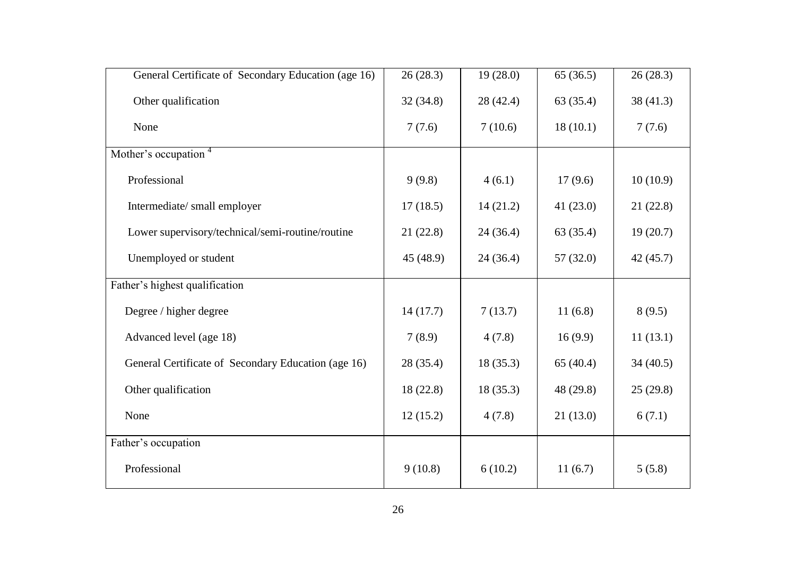| General Certificate of Secondary Education (age 16) | 26(28.3)  | 19(28.0)  | 65(36.5)    | 26(28.3) |
|-----------------------------------------------------|-----------|-----------|-------------|----------|
| Other qualification                                 | 32(34.8)  | 28 (42.4) | 63 (35.4)   | 38(41.3) |
| None                                                | 7(7.6)    | 7(10.6)   | 18(10.1)    | 7(7.6)   |
| Mother's occupation <sup>4</sup>                    |           |           |             |          |
| Professional                                        | 9(9.8)    | 4(6.1)    | 17(9.6)     | 10(10.9) |
| Intermediate/ small employer                        | 17(18.5)  | 14(21.2)  | 41(23.0)    | 21(22.8) |
| Lower supervisory/technical/semi-routine/routine    | 21(22.8)  | 24(36.4)  | 63 (35.4)   | 19(20.7) |
| Unemployed or student                               | 45 (48.9) | 24(36.4)  | 57(32.0)    | 42(45.7) |
| Father's highest qualification                      |           |           |             |          |
| Degree / higher degree                              | 14(17.7)  | 7(13.7)   | 11(6.8)     | 8(9.5)   |
| Advanced level (age 18)                             | 7(8.9)    | 4(7.8)    | 16(9.9)     | 11(13.1) |
| General Certificate of Secondary Education (age 16) | 28(35.4)  | 18(35.3)  | 65 $(40.4)$ | 34(40.5) |
| Other qualification                                 | 18(22.8)  | 18(35.3)  | 48 (29.8)   | 25(29.8) |
| None                                                | 12(15.2)  | 4(7.8)    | 21(13.0)    | 6(7.1)   |
| Father's occupation                                 |           |           |             |          |
| Professional                                        | 9(10.8)   | 6(10.2)   | 11(6.7)     | 5(5.8)   |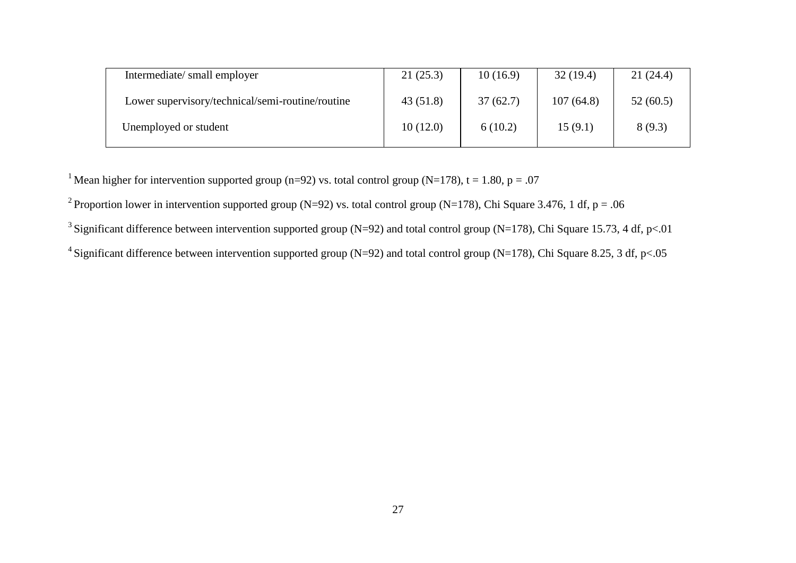| Intermediate/small employer                      | 21(25.3) | 10(16.9) | 32(19.4)  | 21(24.4) |
|--------------------------------------------------|----------|----------|-----------|----------|
| Lower supervisory/technical/semi-routine/routine | 43(51.8) | 37(62.7) | 107(64.8) | 52(60.5) |
| Unemployed or student                            | 10(12.0) | 6(10.2)  | 15(9.1)   | 8(9.3)   |

<sup>1</sup> Mean higher for intervention supported group (n=92) vs. total control group (N=178), t = 1.80, p = .07

<sup>2</sup> Proportion lower in intervention supported group (N=92) vs. total control group (N=178), Chi Square 3.476, 1 df, p = .06

<sup>3</sup> Significant difference between intervention supported group (N=92) and total control group (N=178), Chi Square 15.73, 4 df, p<.01

<sup>4</sup> Significant difference between intervention supported group (N=92) and total control group (N=178), Chi Square 8.25, 3 df, p<.05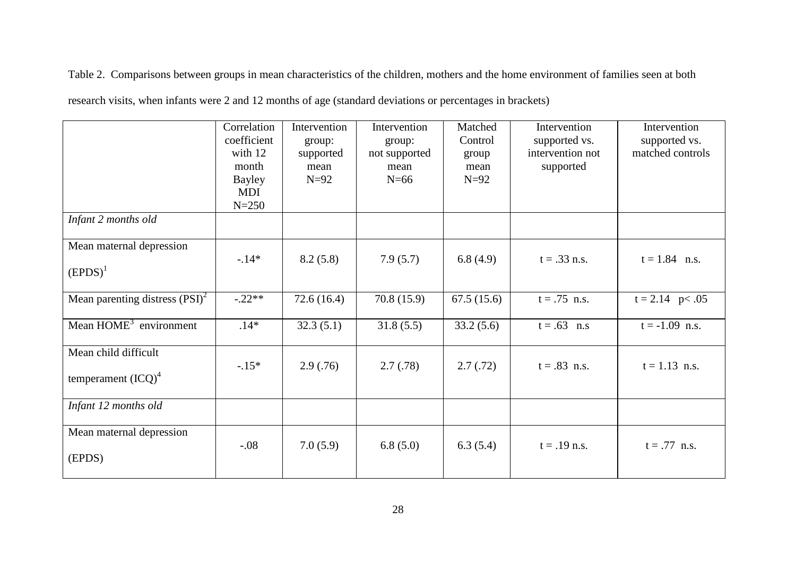Table 2. Comparisons between groups in mean characteristics of the children, mothers and the home environment of families seen at both

|                                   | Correlation<br>coefficient | Intervention<br>group: | Intervention<br>group: | Matched<br>Control | Intervention<br>supported vs. | Intervention<br>supported vs. |
|-----------------------------------|----------------------------|------------------------|------------------------|--------------------|-------------------------------|-------------------------------|
|                                   | with 12                    | supported              | not supported          | group              | intervention not              | matched controls              |
|                                   | month                      | mean                   | mean                   | mean               | supported                     |                               |
|                                   | <b>Bayley</b>              | $N=92$                 | $N=66$                 | $N=92$             |                               |                               |
|                                   | <b>MDI</b>                 |                        |                        |                    |                               |                               |
|                                   | $N = 250$                  |                        |                        |                    |                               |                               |
| Infant 2 months old               |                            |                        |                        |                    |                               |                               |
| Mean maternal depression          |                            |                        |                        |                    |                               |                               |
|                                   | $-14*$                     | 8.2(5.8)               | 7.9(5.7)               | 6.8(4.9)           | $t = .33$ n.s.                | $t = 1.84$ n.s.               |
| $(EPDS)^1$                        |                            |                        |                        |                    |                               |                               |
| Mean parenting distress $(PSI)^2$ | $-.22**$                   | 72.6(16.4)             | 70.8(15.9)             | 67.5(15.6)         | $t = .75$ n.s.                | $t = 2.14$ p < .05            |
|                                   |                            |                        |                        |                    |                               |                               |
| Mean $HOME3$ environment          | $.14*$                     | 32.3(5.1)              | 31.8(5.5)              | 33.2(5.6)          | $t = .63$ n.s                 | $t = -1.09$ n.s.              |
|                                   |                            |                        |                        |                    |                               |                               |
| Mean child difficult              |                            |                        |                        |                    |                               |                               |
|                                   | $-.15*$                    | 2.9(0.76)              | 2.7(0.78)              | 2.7(0.72)          | $t = .83$ n.s.                | $t = 1.13$ n.s.               |
| temperament ${(\text{ICQ})}^4$    |                            |                        |                        |                    |                               |                               |
|                                   |                            |                        |                        |                    |                               |                               |
| Infant 12 months old              |                            |                        |                        |                    |                               |                               |
|                                   |                            |                        |                        |                    |                               |                               |
| Mean maternal depression          | $-.08$                     | 7.0(5.9)               | 6.8(5.0)               | 6.3(5.4)           | $t = .19$ n.s.                | $t = .77$ n.s.                |
| (EPDS)                            |                            |                        |                        |                    |                               |                               |
|                                   |                            |                        |                        |                    |                               |                               |
|                                   |                            |                        |                        |                    |                               |                               |

research visits, when infants were 2 and 12 months of age (standard deviations or percentages in brackets)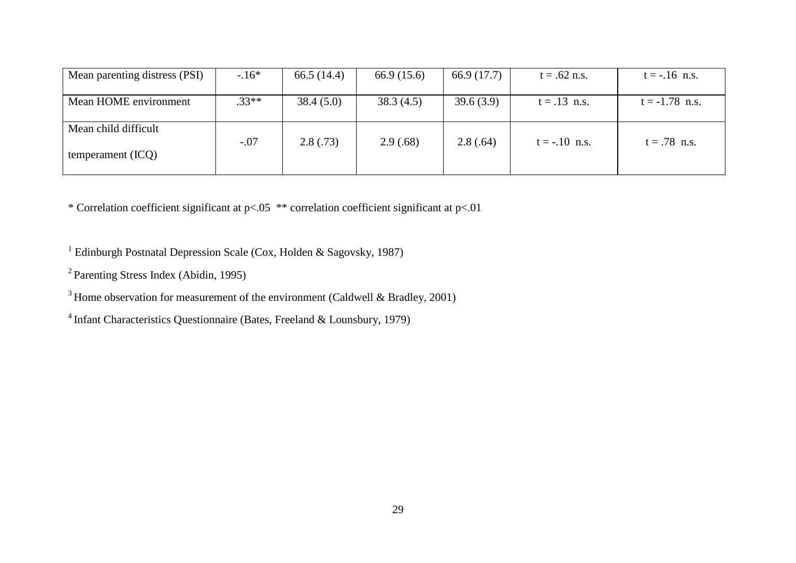| Mean parenting distress (PSI)               | $-16*$  | 66.5 $(14.4)$ | 66.9 (15.6) | 66.9 (17.7) | $t = .62$ n.s.  | $t = -.16$ n.s.  |
|---------------------------------------------|---------|---------------|-------------|-------------|-----------------|------------------|
| Mean HOME environment                       | $.33**$ | 38.4(5.0)     | 38.3(4.5)   | 39.6(3.9)   | $t = .13$ n.s.  | $t = -1.78$ n.s. |
| Mean child difficult<br>temperament $(ICQ)$ | $-.07$  | 2.8(.73)      | 2.9(.68)    | 2.8(.64)    | $t = -.10$ n.s. | $t = .78$ n.s.   |

\* Correlation coefficient significant at p<.05 \*\* correlation coefficient significant at p<.01

<sup>1</sup> Edinburgh Postnatal Depression Scale (Cox, Holden & Sagovsky, 1987)

<sup>2</sup> Parenting Stress Index (Abidin, 1995)

 $3$  Home observation for measurement of the environment (Caldwell & Bradley, 2001)

<sup>4</sup> Infant Characteristics Questionnaire (Bates, Freeland & Lounsbury, 1979)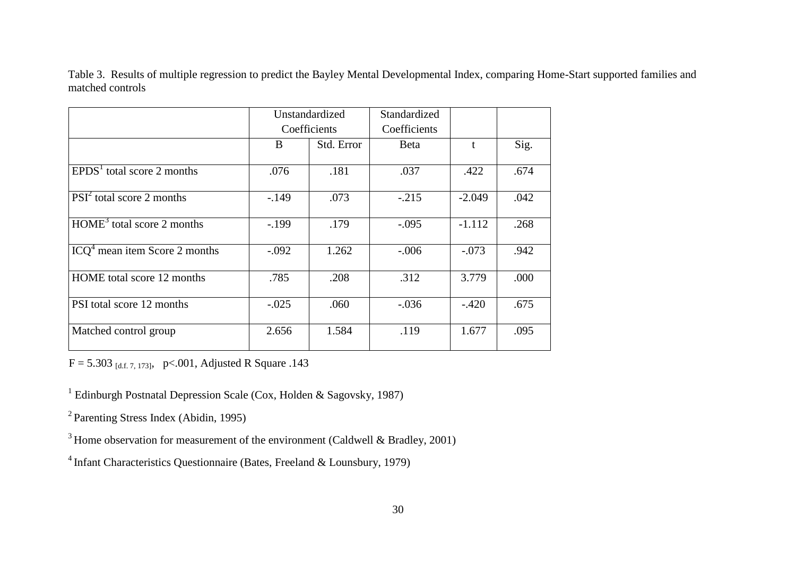Table 3. Results of multiple regression to predict the Bayley Mental Developmental Index, comparing Home-Start supported families and matched controls

|                                 | Unstandardized |            | Standardized |          |      |
|---------------------------------|----------------|------------|--------------|----------|------|
|                                 | Coefficients   |            | Coefficients |          |      |
|                                 | B              | Std. Error | <b>B</b> eta |          | Sig. |
| $EPDS1$ total score 2 months    | .076           | .181       | .037         | .422     | .674 |
| $PSI2$ total score 2 months     | $-149$         | .073       | $-.215$      | $-2.049$ | .042 |
| $HOME3$ total score 2 months    | $-199$         | .179       | $-.095$      | $-1.112$ | .268 |
| $ICQ4$ mean item Score 2 months | $-.092$        | 1.262      | $-.006$      | $-.073$  | .942 |
| HOME total score 12 months      | .785           | .208       | .312         | 3.779    | .000 |
| PSI total score 12 months       | $-.025$        | .060       | $-.036$      | $-.420$  | .675 |
| Matched control group           | 2.656          | 1.584      | .119         | 1.677    | .095 |

 $F = 5.303$  [d.f. 7, 173], p <.001, Adjusted R Square .143

<sup>1</sup> Edinburgh Postnatal Depression Scale (Cox, Holden & Sagovsky, 1987)

<sup>2</sup> Parenting Stress Index (Abidin, 1995)

 $3$  Home observation for measurement of the environment (Caldwell & Bradley, 2001)

<sup>4</sup> Infant Characteristics Questionnaire (Bates, Freeland & Lounsbury, 1979)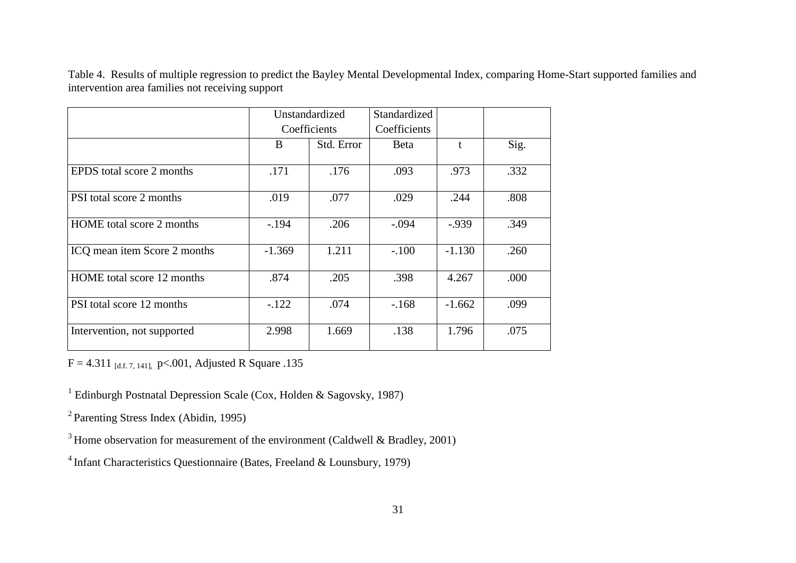Table 4. Results of multiple regression to predict the Bayley Mental Developmental Index, comparing Home-Start supported families and intervention area families not receiving support

|                              |          | Unstandardized | Standardized |          |      |
|------------------------------|----------|----------------|--------------|----------|------|
|                              |          | Coefficients   | Coefficients |          |      |
|                              | B        | Std. Error     | Beta         |          | Sig. |
| EPDS total score 2 months    | .171     | .176           | .093         | .973     | .332 |
| PSI total score 2 months     | .019     | .077           | .029         | .244     | .808 |
| HOME total score 2 months    | $-194$   | .206           | $-.094$      | $-0.939$ | .349 |
| ICQ mean item Score 2 months | $-1.369$ | 1.211          | $-.100$      | $-1.130$ | .260 |
| HOME total score 12 months   | .874     | .205           | .398         | 4.267    | .000 |
| PSI total score 12 months    | $-122$   | .074           | $-.168$      | $-1.662$ | .099 |
| Intervention, not supported  | 2.998    | 1.669          | .138         | 1.796    | .075 |

 $F = 4.311$  [d.f. 7, 141], p <.001, Adjusted R Square .135

<sup>1</sup> Edinburgh Postnatal Depression Scale (Cox, Holden & Sagovsky, 1987)

<sup>2</sup> Parenting Stress Index (Abidin, 1995)

 $3$  Home observation for measurement of the environment (Caldwell & Bradley, 2001)

<sup>4</sup> Infant Characteristics Questionnaire (Bates, Freeland & Lounsbury, 1979)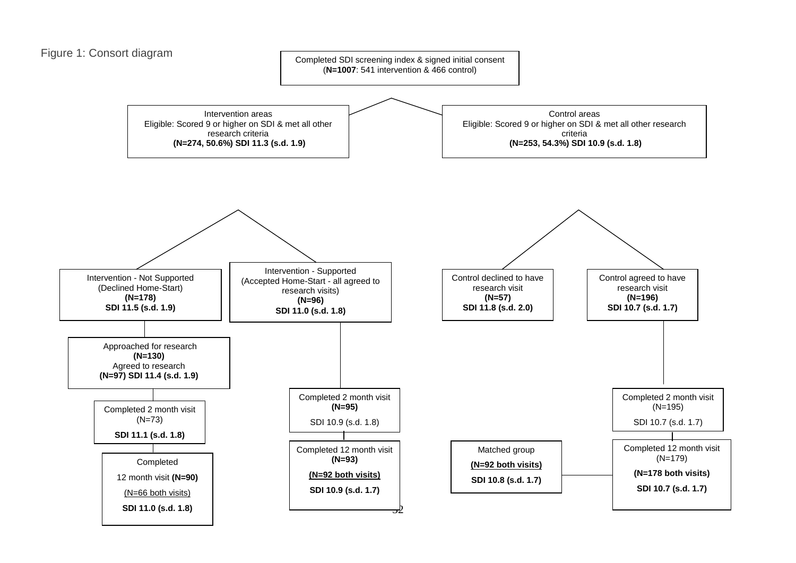